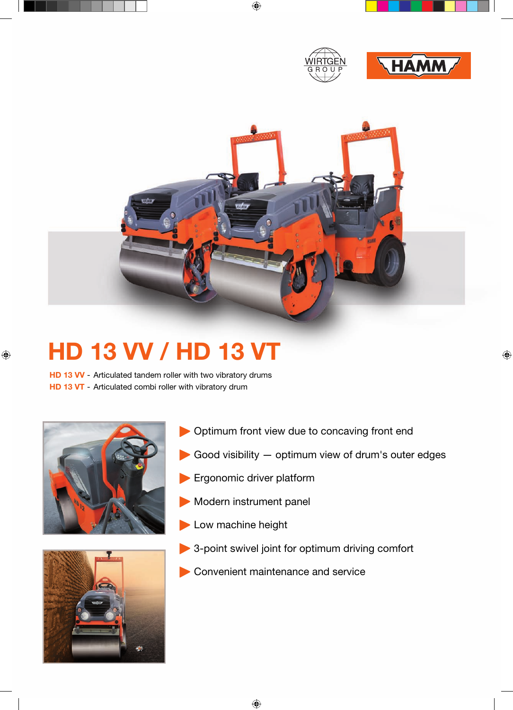



## **HD 13 VV / HD 13 VT**

**HD 13 VV** - Articulated tandem roller with two vibratory drums **HD 13 VT** - Articulated combi roller with vibratory drum





- Optimum front view due to concaving front end
- Good visibility optimum view of drum's outer edges
- **Ergonomic driver platform**
- Modern instrument panel
- Low machine height
- 3-point swivel joint for optimum driving comfort
- Convenient maintenance and service